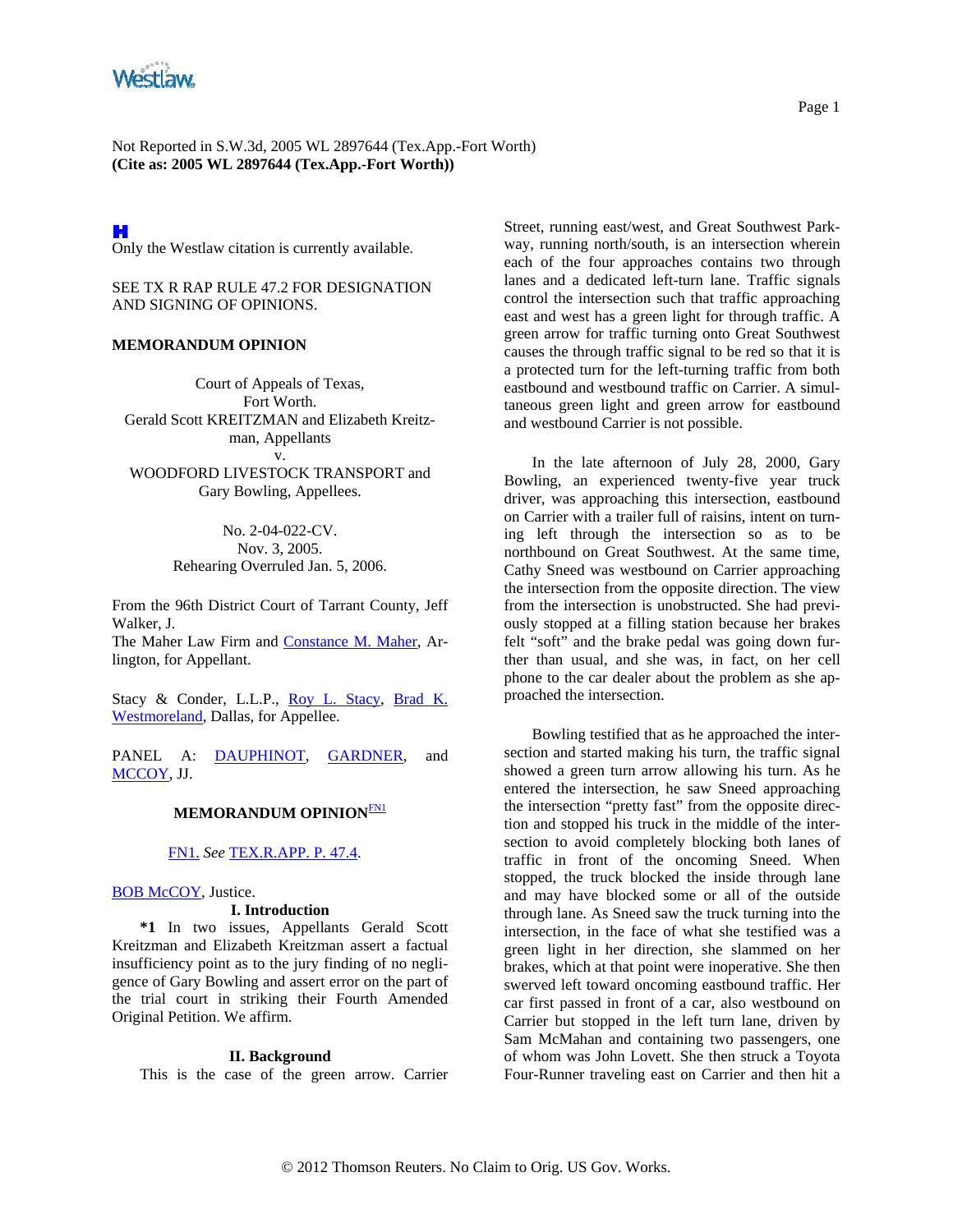<span id="page-0-0"></span>

Not Reported in S.W.3d, 2005 WL 2897644 (Tex.App.-Fort Worth) **(Cite as: 2005 WL 2897644 (Tex.App.-Fort Worth))**

H

Only the Westlaw citation is currently available.

SEE TX R RAP RULE 47.2 FOR DESIGNATION AND SIGNING OF OPINIONS.

## **MEMORANDUM OPINION**

Court of Appeals of Texas, Fort Worth. Gerald Scott KREITZMAN and Elizabeth Kreitzman, Appellants v.

WOODFORD LIVESTOCK TRANSPORT and Gary Bowling, Appellees.

> No. 2-04-022-CV. Nov. 3, 2005. Rehearing Overruled Jan. 5, 2006.

From the 96th District Court of Tarrant County, Jeff Walker, J. The Maher Law Firm and [Constance M. Maher](http://www.westlaw.com/Find/Default.wl?rs=dfa1.0&vr=2.0&DB=PROFILER-WLD&DocName=0182237201&FindType=h), Arlington, for Appellant.

Stacy & Conder, L.L.P., [Roy L. Stacy,](http://www.westlaw.com/Find/Default.wl?rs=dfa1.0&vr=2.0&DB=PROFILER-WLD&DocName=0165581901&FindType=h) [Brad K.](http://www.westlaw.com/Find/Default.wl?rs=dfa1.0&vr=2.0&DB=PROFILER-WLD&DocName=0338190301&FindType=h)  [Westmoreland](http://www.westlaw.com/Find/Default.wl?rs=dfa1.0&vr=2.0&DB=PROFILER-WLD&DocName=0338190301&FindType=h), Dallas, for Appellee.

PANEL A: [DAUPHINOT](http://www.westlaw.com/Find/Default.wl?rs=dfa1.0&vr=2.0&DB=PROFILER-WLD&DocName=0114672301&FindType=h), [GARDNER](http://www.westlaw.com/Find/Default.wl?rs=dfa1.0&vr=2.0&DB=PROFILER-WLD&DocName=0108304401&FindType=h), and [MCCOY,](http://www.westlaw.com/Find/Default.wl?rs=dfa1.0&vr=2.0&DB=PROFILER-WLD&DocName=0333764101&FindType=h) JJ.

## **MEMORANDUM OPINION**[FN1](#page-0-0)

[FN1.](#page-0-0) *See* [TEX.R.APP. P. 47.4.](http://www.westlaw.com/Find/Default.wl?rs=dfa1.0&vr=2.0&DB=1000301&DocName=TXRRAPR47.4&FindType=L)

#### [BOB McCOY](http://www.westlaw.com/Find/Default.wl?rs=dfa1.0&vr=2.0&DB=PROFILER-WLD&DocName=0333764101&FindType=h), Justice.

#### **I. Introduction**

**\*1** In two issues, Appellants Gerald Scott Kreitzman and Elizabeth Kreitzman assert a factual insufficiency point as to the jury finding of no negligence of Gary Bowling and assert error on the part of the trial court in striking their Fourth Amended Original Petition. We affirm.

#### **II. Background**

This is the case of the green arrow. Carrier

Street, running east/west, and Great Southwest Parkway, running north/south, is an intersection wherein each of the four approaches contains two through lanes and a dedicated left-turn lane. Traffic signals control the intersection such that traffic approaching east and west has a green light for through traffic. A green arrow for traffic turning onto Great Southwest causes the through traffic signal to be red so that it is a protected turn for the left-turning traffic from both eastbound and westbound traffic on Carrier. A simultaneous green light and green arrow for eastbound and westbound Carrier is not possible.

In the late afternoon of July 28, 2000, Gary Bowling, an experienced twenty-five year truck driver, was approaching this intersection, eastbound on Carrier with a trailer full of raisins, intent on turning left through the intersection so as to be northbound on Great Southwest. At the same time, Cathy Sneed was westbound on Carrier approaching the intersection from the opposite direction. The view from the intersection is unobstructed. She had previously stopped at a filling station because her brakes felt "soft" and the brake pedal was going down further than usual, and she was, in fact, on her cell phone to the car dealer about the problem as she approached the intersection.

Bowling testified that as he approached the intersection and started making his turn, the traffic signal showed a green turn arrow allowing his turn. As he entered the intersection, he saw Sneed approaching the intersection "pretty fast" from the opposite direction and stopped his truck in the middle of the intersection to avoid completely blocking both lanes of traffic in front of the oncoming Sneed. When stopped, the truck blocked the inside through lane and may have blocked some or all of the outside through lane. As Sneed saw the truck turning into the intersection, in the face of what she testified was a green light in her direction, she slammed on her brakes, which at that point were inoperative. She then swerved left toward oncoming eastbound traffic. Her car first passed in front of a car, also westbound on Carrier but stopped in the left turn lane, driven by Sam McMahan and containing two passengers, one of whom was John Lovett. She then struck a Toyota Four-Runner traveling east on Carrier and then hit a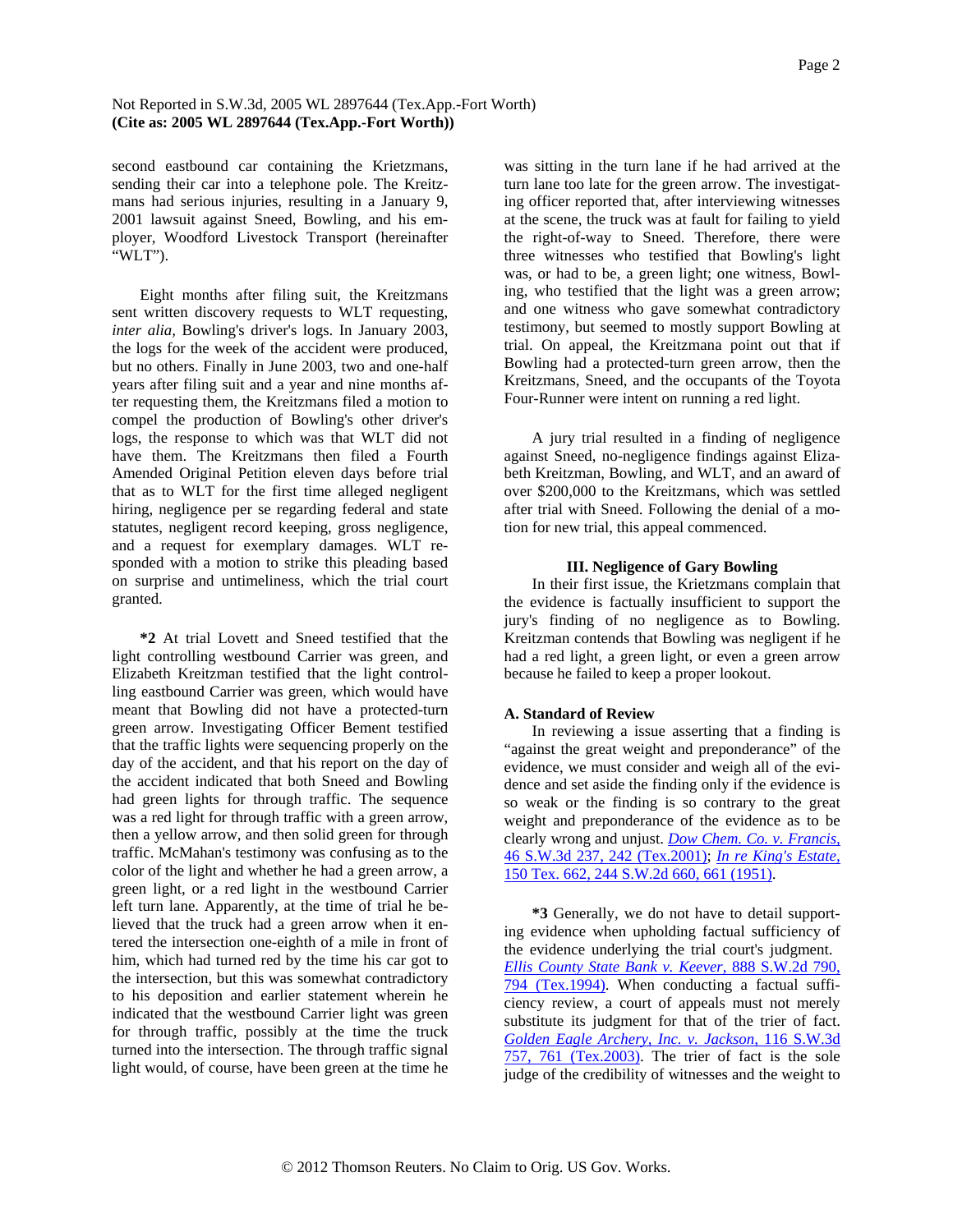# Not Reported in S.W.3d, 2005 WL 2897644 (Tex.App.-Fort Worth) **(Cite as: 2005 WL 2897644 (Tex.App.-Fort Worth))**

second eastbound car containing the Krietzmans, sending their car into a telephone pole. The Kreitzmans had serious injuries, resulting in a January 9, 2001 lawsuit against Sneed, Bowling, and his employer, Woodford Livestock Transport (hereinafter "WLT").

Eight months after filing suit, the Kreitzmans sent written discovery requests to WLT requesting, *inter alia,* Bowling's driver's logs. In January 2003, the logs for the week of the accident were produced, but no others. Finally in June 2003, two and one-half years after filing suit and a year and nine months after requesting them, the Kreitzmans filed a motion to compel the production of Bowling's other driver's logs, the response to which was that WLT did not have them. The Kreitzmans then filed a Fourth Amended Original Petition eleven days before trial that as to WLT for the first time alleged negligent hiring, negligence per se regarding federal and state statutes, negligent record keeping, gross negligence, and a request for exemplary damages. WLT responded with a motion to strike this pleading based on surprise and untimeliness, which the trial court granted.

**\*2** At trial Lovett and Sneed testified that the light controlling westbound Carrier was green, and Elizabeth Kreitzman testified that the light controlling eastbound Carrier was green, which would have meant that Bowling did not have a protected-turn green arrow. Investigating Officer Bement testified that the traffic lights were sequencing properly on the day of the accident, and that his report on the day of the accident indicated that both Sneed and Bowling had green lights for through traffic. The sequence was a red light for through traffic with a green arrow, then a yellow arrow, and then solid green for through traffic. McMahan's testimony was confusing as to the color of the light and whether he had a green arrow, a green light, or a red light in the westbound Carrier left turn lane. Apparently, at the time of trial he believed that the truck had a green arrow when it entered the intersection one-eighth of a mile in front of him, which had turned red by the time his car got to the intersection, but this was somewhat contradictory to his deposition and earlier statement wherein he indicated that the westbound Carrier light was green for through traffic, possibly at the time the truck turned into the intersection. The through traffic signal light would, of course, have been green at the time he

was sitting in the turn lane if he had arrived at the turn lane too late for the green arrow. The investigating officer reported that, after interviewing witnesses at the scene, the truck was at fault for failing to yield the right-of-way to Sneed. Therefore, there were three witnesses who testified that Bowling's light was, or had to be, a green light; one witness, Bowling, who testified that the light was a green arrow; and one witness who gave somewhat contradictory testimony, but seemed to mostly support Bowling at trial. On appeal, the Kreitzmana point out that if Bowling had a protected-turn green arrow, then the Kreitzmans, Sneed, and the occupants of the Toyota Four-Runner were intent on running a red light.

A jury trial resulted in a finding of negligence against Sneed, no-negligence findings against Elizabeth Kreitzman, Bowling, and WLT, and an award of over \$200,000 to the Kreitzmans, which was settled after trial with Sneed. Following the denial of a motion for new trial, this appeal commenced.

## **III. Negligence of Gary Bowling**

In their first issue, the Krietzmans complain that the evidence is factually insufficient to support the jury's finding of no negligence as to Bowling. Kreitzman contends that Bowling was negligent if he had a red light, a green light, or even a green arrow because he failed to keep a proper lookout.

# **A. Standard of Review**

In reviewing a issue asserting that a finding is "against the great weight and preponderance" of the evidence, we must consider and weigh all of the evidence and set aside the finding only if the evidence is so weak or the finding is so contrary to the great weight and preponderance of the evidence as to be clearly wrong and unjust. *[Dow Chem. Co. v. Francis,](http://www.westlaw.com/Find/Default.wl?rs=dfa1.0&vr=2.0&DB=4644&FindType=Y&ReferencePositionType=S&SerialNum=2001340683&ReferencePosition=242)* [46 S.W.3d 237, 242 \(Tex.2001\)](http://www.westlaw.com/Find/Default.wl?rs=dfa1.0&vr=2.0&DB=4644&FindType=Y&ReferencePositionType=S&SerialNum=2001340683&ReferencePosition=242); *[In re King's Estate,](http://www.westlaw.com/Find/Default.wl?rs=dfa1.0&vr=2.0&DB=713&FindType=Y&ReferencePositionType=S&SerialNum=1952101913&ReferencePosition=661)* [150 Tex. 662, 244 S.W.2d 660, 661 \(1951\)](http://www.westlaw.com/Find/Default.wl?rs=dfa1.0&vr=2.0&DB=713&FindType=Y&ReferencePositionType=S&SerialNum=1952101913&ReferencePosition=661).

**\*3** Generally, we do not have to detail supporting evidence when upholding factual sufficiency of the evidence underlying the trial court's judgment. *[Ellis County State Bank v. Keever,](http://www.westlaw.com/Find/Default.wl?rs=dfa1.0&vr=2.0&DB=713&FindType=Y&ReferencePositionType=S&SerialNum=1994136021&ReferencePosition=794)* [888 S.W.2d 790,](http://www.westlaw.com/Find/Default.wl?rs=dfa1.0&vr=2.0&DB=713&FindType=Y&ReferencePositionType=S&SerialNum=1994136021&ReferencePosition=794)  [794 \(Tex.1994\)](http://www.westlaw.com/Find/Default.wl?rs=dfa1.0&vr=2.0&DB=713&FindType=Y&ReferencePositionType=S&SerialNum=1994136021&ReferencePosition=794). When conducting a factual sufficiency review, a court of appeals must not merely substitute its judgment for that of the trier of fact. *[Golden Eagle Archery, Inc. v. Jackson,](http://www.westlaw.com/Find/Default.wl?rs=dfa1.0&vr=2.0&DB=4644&FindType=Y&ReferencePositionType=S&SerialNum=2003620999&ReferencePosition=761)* [116 S.W.3d](http://www.westlaw.com/Find/Default.wl?rs=dfa1.0&vr=2.0&DB=4644&FindType=Y&ReferencePositionType=S&SerialNum=2003620999&ReferencePosition=761)  [757, 761 \(Tex.2003\)](http://www.westlaw.com/Find/Default.wl?rs=dfa1.0&vr=2.0&DB=4644&FindType=Y&ReferencePositionType=S&SerialNum=2003620999&ReferencePosition=761). The trier of fact is the sole judge of the credibility of witnesses and the weight to